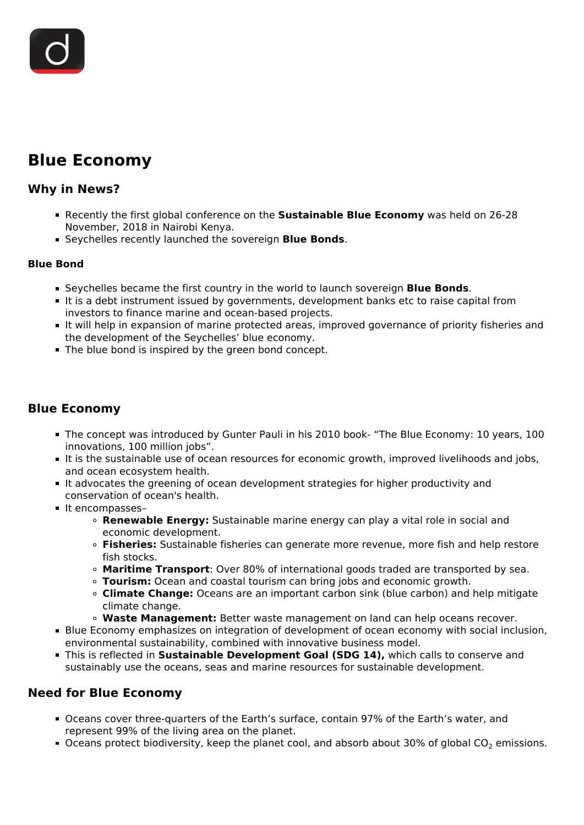# **Blue Economy**

## **Why in News?**

- Recently the first global conference on the **Sustainable Blue Economy** was held on 26-28 November, 2018 in Nairobi Kenya.
- Seychelles recently launched the sovereign **Blue Bonds**.

#### **Blue Bond**

- Seychelles became the first country in the world to launch sovereign **Blue Bonds**.
- It is a debt instrument issued by governments, development banks etc to raise capital from investors to finance marine and ocean-based projects.
- It will help in expansion of marine protected areas, improved governance of priority fisheries and the development of the Seychelles' blue economy.
- The blue bond is inspired by the green bond concept.

# **Blue Economy**

- The concept was introduced by Gunter Pauli in his 2010 book- "The Blue Economy: 10 years, 100 innovations, 100 million jobs".
- It is the sustainable use of ocean resources for economic growth, improved livelihoods and jobs, and ocean ecosystem health.
- It advocates the greening of ocean development strategies for higher productivity and conservation of ocean's health.
- It encompasses-
	- **Renewable Energy:** Sustainable marine energy can play a vital role in social and economic development.
	- **Fisheries:** Sustainable fisheries can generate more revenue, more fish and help restore fish stocks.
	- **Maritime Transport**: Over 80% of international goods traded are transported by sea.
	- **Tourism:** Ocean and coastal tourism can bring jobs and economic growth.
	- **Climate Change:** Oceans are an important carbon sink (blue carbon) and help mitigate climate change.
	- **Waste Management:** Better waste management on land can help oceans recover.
- Blue Economy emphasizes on integration of development of ocean economy with social inclusion, environmental sustainability, combined with innovative business model.
- This is reflected in **Sustainable Development Goal (SDG 14),** which calls to conserve and sustainably use the oceans, seas and marine resources for sustainable development.

## **Need for Blue Economy**

- Oceans cover three-quarters of the Earth's surface, contain 97% of the Earth's water, and represent 99% of the living area on the planet.
- Oceans protect biodiversity, keep the planet cool, and absorb about 30% of global  $CO<sub>2</sub>$  emissions.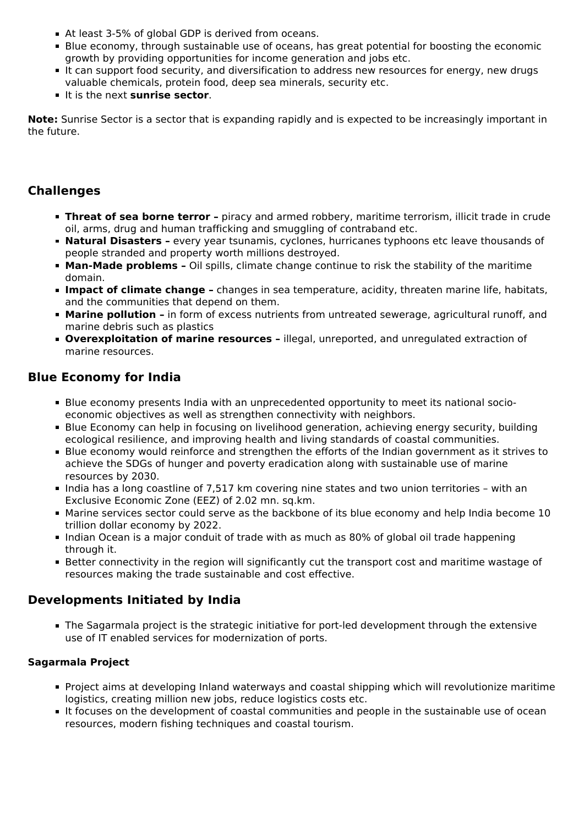- At least 3-5% of global GDP is derived from oceans.
- Blue economy, through sustainable use of oceans, has great potential for boosting the economic growth by providing opportunities for income generation and jobs etc.
- It can support food security, and diversification to address new resources for energy, new drugs valuable chemicals, protein food, deep sea minerals, security etc.
- It is the next **sunrise sector**.

**Note:** Sunrise Sector is a sector that is expanding rapidly and is expected to be increasingly important in the future.

# **Challenges**

- **Threat of sea borne terror** piracy and armed robbery, maritime terrorism, illicit trade in crude oil, arms, drug and human trafficking and smuggling of contraband etc.
- **Natural Disasters -** every year tsunamis, cyclones, hurricanes typhoons etc leave thousands of people stranded and property worth millions destroyed.
- **Man-Made problems -** Oil spills, climate change continue to risk the stability of the maritime domain.
- **Impact of climate change -** changes in sea temperature, acidity, threaten marine life, habitats, and the communities that depend on them.
- **Marine pollution -** in form of excess nutrients from untreated sewerage, agricultural runoff, and marine debris such as plastics
- **Overexploitation of marine resources –** illegal, unreported, and unregulated extraction of marine resources.

## **Blue Economy for India**

- Blue economy presents India with an unprecedented opportunity to meet its national socioeconomic objectives as well as strengthen connectivity with neighbors.
- Blue Economy can help in focusing on livelihood generation, achieving energy security, building ecological resilience, and improving health and living standards of coastal communities.
- Blue economy would reinforce and strengthen the efforts of the Indian government as it strives to achieve the SDGs of hunger and poverty eradication along with sustainable use of marine resources by 2030.
- India has a long coastline of 7,517 km covering nine states and two union territories with an Exclusive Economic Zone (EEZ) of 2.02 mn. sq.km.
- Marine services sector could serve as the backbone of its blue economy and help India become 10 trillion dollar economy by 2022.
- Indian Ocean is a major conduit of trade with as much as 80% of global oil trade happening through it.
- Better connectivity in the region will significantly cut the transport cost and maritime wastage of resources making the trade sustainable and cost effective.

## **Developments Initiated by India**

The Sagarmala project is the strategic initiative for port-led development through the extensive use of IT enabled services for modernization of ports.

#### **Sagarmala Project**

- Project aims at developing Inland waterways and coastal shipping which will revolutionize maritime logistics, creating million new jobs, reduce logistics costs etc.
- It focuses on the development of coastal communities and people in the sustainable use of ocean resources, modern fishing techniques and coastal tourism.